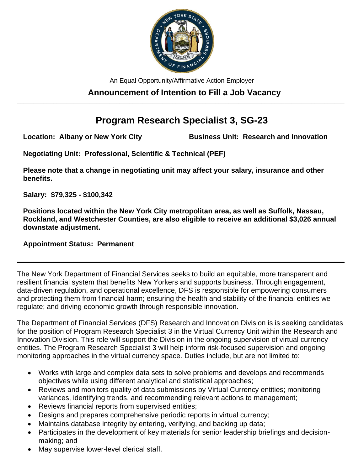

An Equal Opportunity/Affirmative Action Employer

#### **Announcement of Intention to Fill a Job Vacancy \_\_\_\_\_\_\_\_\_\_\_\_\_\_\_\_\_\_\_\_\_\_\_\_\_\_\_\_\_\_\_\_\_\_\_\_\_\_\_\_\_\_\_\_\_\_\_\_\_\_\_\_\_\_\_\_\_\_\_\_\_\_\_\_\_\_\_\_\_\_\_\_\_\_\_\_\_\_\_\_\_\_\_\_\_\_\_\_\_\_\_\_\_\_\_\_\_\_\_**

# **Program Research Specialist 3, SG-23**

**Location: Albany or New York City Business Unit: Research and Innovation**

**Negotiating Unit: Professional, Scientific & Technical (PEF)**

**Please note that a change in negotiating unit may affect your salary, insurance and other benefits.**

**Salary: \$79,325 - \$100,342**

**Positions located within the New York City metropolitan area, as well as Suffolk, Nassau, Rockland, and Westchester Counties, are also eligible to receive an additional \$3,026 annual downstate adjustment.**

**\_\_\_\_\_\_\_\_\_\_\_\_\_\_\_\_\_\_\_\_\_\_\_\_\_\_\_\_\_\_\_\_\_\_\_\_\_\_\_\_\_\_\_\_\_\_\_\_\_\_\_\_\_\_\_\_\_\_\_\_\_\_\_\_\_\_\_\_\_\_\_\_\_\_\_\_\_\_\_\_\_\_\_\_\_\_\_\_\_\_\_\_\_\_\_\_\_\_\_**

### **Appointment Status: Permanent**

The New York Department of Financial Services seeks to build an equitable, more transparent and resilient financial system that benefits New Yorkers and supports business. Through engagement, data-driven regulation, and operational excellence, DFS is responsible for empowering consumers and protecting them from financial harm; ensuring the health and stability of the financial entities we regulate; and driving economic growth through responsible innovation.

The Department of Financial Services (DFS) Research and Innovation Division is is seeking candidates for the position of Program Research Specialist 3 in the Virtual Currency Unit within the Research and Innovation Division. This role will support the Division in the ongoing supervision of virtual currency entities. The Program Research Specialist 3 will help inform risk-focused supervision and ongoing monitoring approaches in the virtual currency space. Duties include, but are not limited to:

- Works with large and complex data sets to solve problems and develops and recommends objectives while using different analytical and statistical approaches;
- Reviews and monitors quality of data submissions by Virtual Currency entities; monitoring variances, identifying trends, and recommending relevant actions to management;
- Reviews financial reports from supervised entities;
- Designs and prepares comprehensive periodic reports in virtual currency;
- Maintains database integrity by entering, verifying, and backing up data;
- Participates in the development of key materials for senior leadership briefings and decisionmaking; and
- May supervise lower-level clerical staff.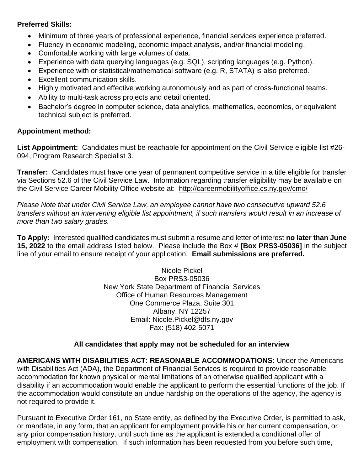#### **Preferred Skills:**

- Minimum of three years of professional experience, financial services experience preferred.
- Fluency in economic modeling, economic impact analysis, and/or financial modeling.
- Comfortable working with large volumes of data.
- Experience with data querying languages (e.g. SQL), scripting languages (e.g. Python).
- Experience with or statistical/mathematical software (e.g. R, STATA) is also preferred.
- Excellent communication skills.
- Highly motivated and effective working autonomously and as part of cross-functional teams.
- Ability to multi-task across projects and detail oriented.
- Bachelor's degree in computer science, data analytics, mathematics, economics, or equivalent technical subject is preferred.

### **Appointment method:**

**List Appointment:** Candidates must be reachable for appointment on the Civil Service eligible list #26- 094, Program Research Specialist 3.

**Transfer:** Candidates must have one year of permanent competitive service in a title eligible for transfer via Sections 52.6 of the Civil Service Law. Information regarding transfer eligibility may be available on the Civil Service Career Mobility Office website at: http://careermobilityoffice.cs.ny.gov/cmo/

*Please Note that under Civil Service Law, an employee cannot have two consecutive upward 52.6 transfers without an intervening eligible list appointment, if such transfers would result in an increase of more than two salary grades.*

**To Apply:** Interested qualified candidates must submit a resume and letter of interest **no later than June 15, 2022** to the email address listed below. Please include the Box # **[Box PRS3-05036]** in the subject line of your email to ensure receipt of your application. **Email submissions are preferred.**

> Nicole Pickel Box PRS3-05036 New York State Department of Financial Services Office of Human Resources Management One Commerce Plaza, Suite 301 Albany, NY 12257 Email: Nicole.Pickel@dfs.ny.gov Fax: (518) 402-5071

## **All candidates that apply may not be scheduled for an interview**

**AMERICANS WITH DISABILITIES ACT: REASONABLE ACCOMMODATIONS:** Under the Americans with Disabilities Act (ADA), the Department of Financial Services is required to provide reasonable accommodation for known physical or mental limitations of an otherwise qualified applicant with a disability if an accommodation would enable the applicant to perform the essential functions of the job. If the accommodation would constitute an undue hardship on the operations of the agency, the agency is not required to provide it.

Pursuant to Executive Order 161, no State entity, as defined by the Executive Order, is permitted to ask, or mandate, in any form, that an applicant for employment provide his or her current compensation, or any prior compensation history, until such time as the applicant is extended a conditional offer of employment with compensation. If such information has been requested from you before such time,